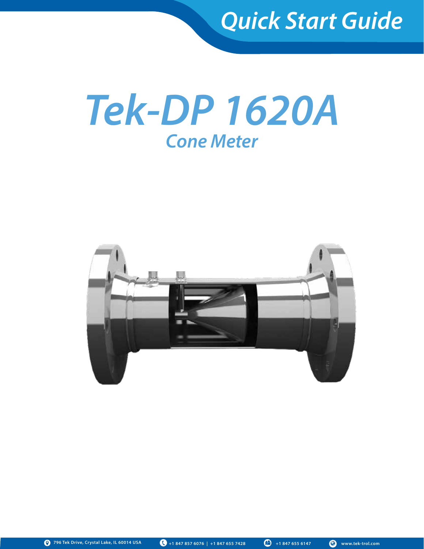

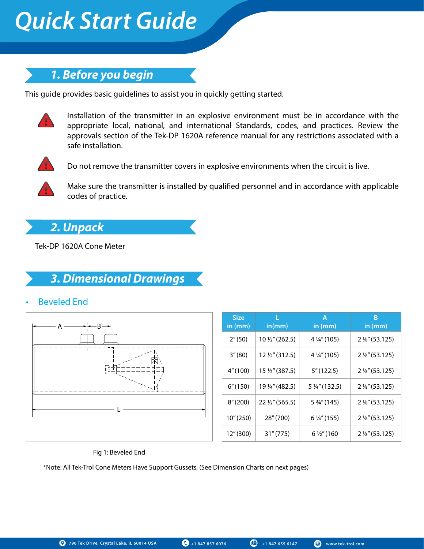# *1. Before you begin*

This guide provides basic guidelines to assist you in quickly getting started.



Installation of the transmitter in an explosive environment must be in accordance with the appropriate local, national, and international Standards, codes, and practices. Review the approvals section of the Tek-DP 1620A reference manual for any restrictions associated with a safe installation.



Do not remove the transmitter covers in explosive environments when the circuit is live.



Make sure the transmitter is installed by qualified personnel and in accordance with applicable codes of practice.

# *2. Unpack*

Tek-DP 1620A Cone Meter

# *3. Dimensional Drawings*

• Beveled End



| <b>Size</b><br>in $(mm)$ | in(mm)                    | Α<br>in $(mm)$            | В<br>in $(mm)$            |
|--------------------------|---------------------------|---------------------------|---------------------------|
| 2''(50)                  | 10 1/2" (262.5)           | 4 $\frac{1}{4}$ " (105)   | 2 %" (53.125)             |
| 3''(80)                  | 12 1/2" (312.5)           | 4 1/4" (105)              | $2\frac{1}{8}$ " (53.125) |
| 4" (100)                 | 15 1/2" (387.5)           | 5''(122.5)                | $2\frac{1}{8}$ " (53.125) |
| 6''(150)                 | 19 ¼" (482.5)             | 5 $\frac{1}{4}$ " (132.5) | $2\frac{1}{8}$ " (53.125) |
| 8''(200)                 | $22\frac{1}{2}$ " (565.5) | 5 3/4" (145)              | 2 %" (53.125)             |
| 10''(250)                | 28" (700)                 | $6\frac{1}{4}$ " (155)    | $2\frac{1}{8}$ " (53.125) |
| 12''(300)                | 31''(775)                 | $6\frac{1}{2}$ " (160     | $2\frac{1}{8}$ " (53.125) |

### Fig 1: Beveled End

\*Note: All Tek-Trol Cone Meters Have Support Gussets, (See Dimension Charts on next pages)

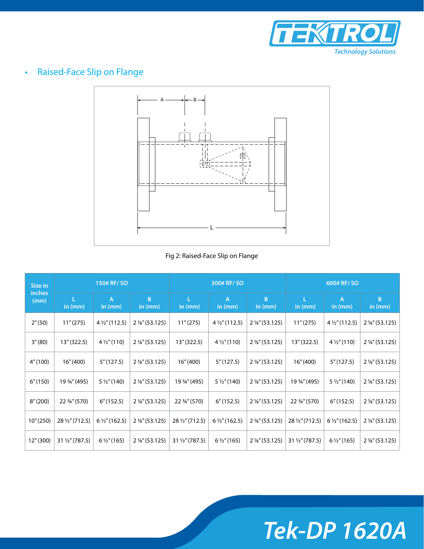

# • Raised-Face Slip on Flange



### Fig 2: Raised-Face Slip on Flange

| 150# RF/ SO<br>Size in |                 | 300# RF/SO             |                           |                 | 600# RF/SO               |                           |                 |                          |                           |
|------------------------|-----------------|------------------------|---------------------------|-----------------|--------------------------|---------------------------|-----------------|--------------------------|---------------------------|
| inches<br>(mm)         | in $(mm)$       | A<br>in $(mm)$         | B<br>in $(mm)$            | L<br>in $(mm)$  | A<br>in $(mm)$           | B<br>in $(mm)$            | L<br>in $(mm)$  | A<br>in $(mm)$           | B<br>in $(mm)$            |
| 2''(50)                | 11''(275)       | $4\frac{1}{2}$ (112.5) | 2 %" (53.125)             | 11''(275)       | $4\frac{1}{2}$ " (112.5) | $2\frac{1}{8}$ (53.125)   | 11''(275)       | $4\frac{1}{2}$ (112.5)   | 2 %" (53.125)             |
| 3''(80)                | 13" (322.5)     | $4\frac{1}{2}$ " (110) | $2\frac{1}{8}$ " (53.125) | 13" (322.5)     | $4\frac{1}{2}$ " (110)   | 2 %" (53.125)             | 13" (322.5)     | $4\frac{1}{2}$ (110)     | 2 %" (53.125)             |
| 4''(100)               | 16''(400)       | 5''(127.5)             | $2\frac{1}{8}$ " (53.125) | 16''(400)       | 5''(127.5)               | $2\frac{1}{8}$ " (53.125) | 16''(400)       | 5''(127.5)               | $2\frac{1}{8}$ " (53.125) |
| 6''(150)               | 19 3/4" (495)   | $5\frac{1}{2}$ (140)   | $2\frac{1}{8}$ " (53.125) | 19 3/4" (495)   | $5\frac{1}{2}$ (140)     | 2 %" (53.125)             | 19 3/4" (495)   | $5\frac{1}{2}$ (140)     | 2 %" (53.125)             |
| 8''(200)               | 22 3/4" (570)   | 6''(152.5)             | 2 %" (53.125)             | 22 3/4" (570)   | 6''(152.5)               | $2\frac{1}{8}$ " (53.125) | 22 3/4" (570)   | 6''(152.5)               | 2 %" (53.125)             |
| 10''(250)              | 28 1/2" (712.5) | $6\frac{1}{2}$ (162.5) | $2\frac{1}{8}$ " (53.125) | 28 1/2" (712.5) | $6\frac{1}{2}$ " (162.5) | $2\frac{1}{8}$ " (53.125) | 28 1/2" (712.5) | $6\frac{1}{2}$ " (162.5) | $2\frac{1}{8}$ " (53.125) |
| 12" (300)              | 31 1/2" (787.5) | $6\frac{1}{2}$ " (165) | 2 %" (53.125)             | 31 1/2" (787.5) | $6\frac{1}{2}$ " (165)   | $2\frac{1}{8}$ " (53.125) | 31 1/2" (787.5) | $6\frac{1}{2}$ " (165)   | $2\frac{1}{8}$ " (53.125) |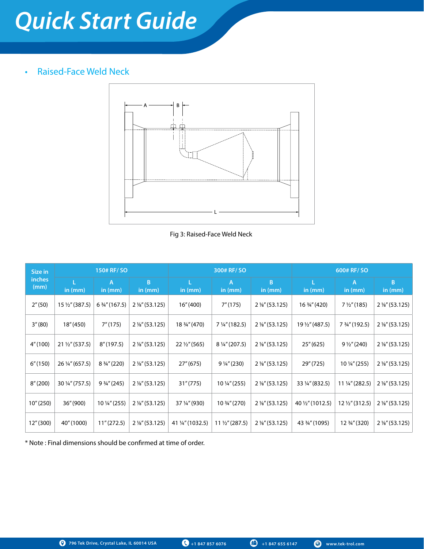# • Raised-Face Weld Neck



Fig 3: Raised-Face Weld Neck

| Size in        | 150# RF/ SO     |                             |                           |                         | 300# RF/SO                |                           | 600# RF/ SO      |                        |                           |
|----------------|-----------------|-----------------------------|---------------------------|-------------------------|---------------------------|---------------------------|------------------|------------------------|---------------------------|
| inches<br>(mm) | in (mm)         | $\overline{A}$<br>in $(mm)$ | B.<br>in $(mm)$           | L.<br>in $(mm)$         | $\mathsf{A}$<br>in $(mm)$ | B<br>in $(mm)$            | L.<br>in $(mm)$  | A<br>in $(mm)$         | B<br>in (mm)              |
| 2''(50)        | 15 1/2" (387.5) | 6 3⁄4" (167.5)              | 2 %" (53.125)             | 16''(400)               | 7"(175)                   | $2\frac{1}{8}$ " (53.125) | 16 3/4" (420)    | $7\frac{1}{2}$ " (185) | $2\frac{1}{8}$ " (53.125) |
| 3''(80)        | 18" (450)       | 7''(175)                    | 2 %" (53.125)             | 18 3/4" (470)           | 7 $\frac{1}{4}$ " (182.5) | $2\frac{1}{8}$ " (53.125) | 19 1/2" (487.5)  | 7 3/4" (192.5)         | 2 %" (53.125)             |
| 4" (100)       | 21 1/2" (537.5) | 8''(197.5)                  | $2\frac{1}{8}$ " (53.125) | $22\frac{1}{2}$ " (565) | 8 1/4" (207.5)            | $2\frac{1}{8}$ " (53.125) | 25''(625)        | $9\frac{1}{2}$ " (240) | 2 %" (53.125)             |
| 6''(150)       | 26 1/4" (657.5) | 8 3/4" (220)                | $2\frac{1}{8}$ " (53.125) | 27" (675)               | $9\frac{1}{4}$ " (230)    | 2 %" (53.125)             | 29" (725)        | 10 1/4" (255)          | 2 %" (53.125)             |
| 8''(200)       | 30 1/4" (757.5) | $9\frac{3}{4}$ " (245)      | $2\frac{1}{8}$ (53.125)   | 31''(775)               | 10 1/4" (255)             | $2\frac{1}{8}$ (53.125)   | 33 1/4" (832.5)  | 11 1/4" (282.5)        | $2\frac{1}{8}$ " (53.125) |
| 10" (250)      | 36" (900)       | 10 ¼" (255)                 | 2 %" (53.125)             | 37 1/4" (930)           | 10 3/4" (270)             | 2 %" (53.125)             | 40 1/2" (1012.5) | 12 1/2" (312.5)        | $2\frac{1}{8}$ " (53.125) |
| 12" (300)      | 40" (1000)      | 11''(272.5)                 | $2\frac{1}{8}$ " (53.125) | 41 ¼" (1032.5)          | $11\frac{1}{2}$ " (287.5) | $2\frac{1}{8}$ " (53.125) | 43 3/4" (1095)   | 12 3/4" (320)          | 2 %" (53.125)             |

\* Note : Final dimensions should be confirmed at time of order.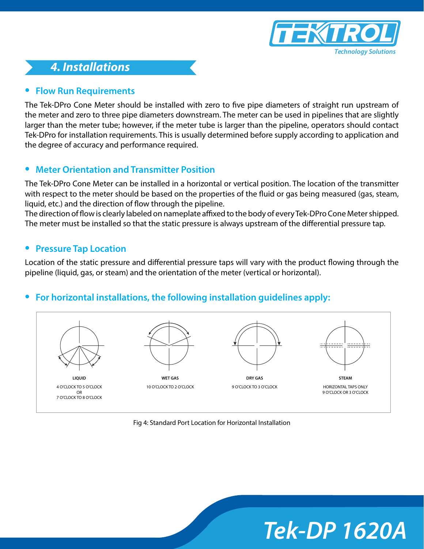

# *4. Installations*

# **• Flow Run Requirements**

The Tek-DPro Cone Meter should be installed with zero to five pipe diameters of straight run upstream of the meter and zero to three pipe diameters downstream. The meter can be used in pipelines that are slightly larger than the meter tube; however, if the meter tube is larger than the pipeline, operators should contact Tek-DPro for installation requirements. This is usually determined before supply according to application and the degree of accuracy and performance required.

# **• Meter Orientation and Transmitter Position**

The Tek-DPro Cone Meter can be installed in a horizontal or vertical position. The location of the transmitter with respect to the meter should be based on the properties of the fluid or gas being measured (gas, steam, liquid, etc.) and the direction of flow through the pipeline.

The direction of flow is clearly labeled on nameplate affixed to the body of every Tek-DPro Cone Meter shipped. The meter must be installed so that the static pressure is always upstream of the differential pressure tap.

# **• Pressure Tap Location**

Location of the static pressure and differential pressure taps will vary with the product flowing through the pipeline (liquid, gas, or steam) and the orientation of the meter (vertical or horizontal).

# **• For horizontal installations, the following installation guidelines apply:**



Fig 4: Standard Port Location for Horizontal Installation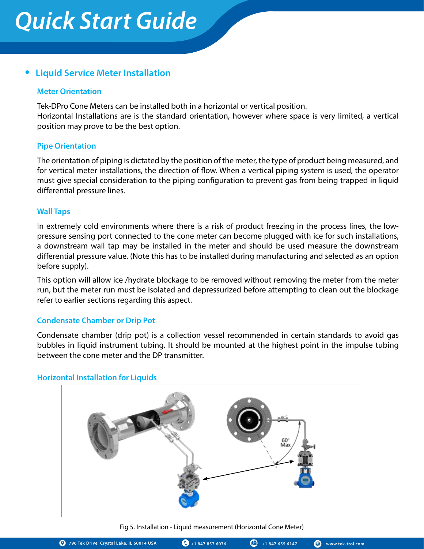# **• Liquid Service Meter Installation**

### **Meter Orientation**

Tek-DPro Cone Meters can be installed both in a horizontal or vertical position. Horizontal Installations are is the standard orientation, however where space is very limited, a vertical position may prove to be the best option.

### **Pipe Orientation**

The orientation of piping is dictated by the position of the meter, the type of product being measured, and for vertical meter installations, the direction of flow. When a vertical piping system is used, the operator must give special consideration to the piping configuration to prevent gas from being trapped in liquid differential pressure lines.

### **Wall Taps**

In extremely cold environments where there is a risk of product freezing in the process lines, the lowpressure sensing port connected to the cone meter can become plugged with ice for such installations, a downstream wall tap may be installed in the meter and should be used measure the downstream differential pressure value. (Note this has to be installed during manufacturing and selected as an option before supply).

This option will allow ice /hydrate blockage to be removed without removing the meter from the meter run, but the meter run must be isolated and depressurized before attempting to clean out the blockage refer to earlier sections regarding this aspect.

# **Condensate Chamber or Drip Pot**

Condensate chamber (drip pot) is a collection vessel recommended in certain standards to avoid gas bubbles in liquid instrument tubing. It should be mounted at the highest point in the impulse tubing between the cone meter and the DP transmitter.

# $\frac{60}{2}$

# **Horizontal Installation for Liquids**

Fig 5. Installation - Liquid measurement (Horizontal Cone Meter)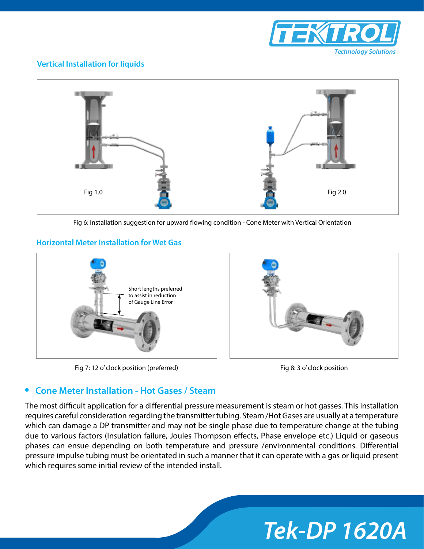

# **Vertical Installation for liquids**



Fig 6: Installation suggestion for upward flowing condition - Cone Meter with Vertical Orientation

### **Horizontal Meter Installation for Wet Gas**



Fig 7: 12 o' clock position (preferred) Fig 8: 3 o' clock position in Fig 8: 3 o' clock position



# **• Cone Meter Installation - Hot Gases / Steam**

The most difficult application for a differential pressure measurement is steam or hot gasses. This installation requires careful consideration regarding the transmitter tubing. Steam /Hot Gases are usually at a temperature which can damage a DP transmitter and may not be single phase due to temperature change at the tubing due to various factors (Insulation failure, Joules Thompson effects, Phase envelope etc.) Liquid or gaseous phases can ensue depending on both temperature and pressure /environmental conditions. Differential pressure impulse tubing must be orientated in such a manner that it can operate with a gas or liquid present which requires some initial review of the intended install.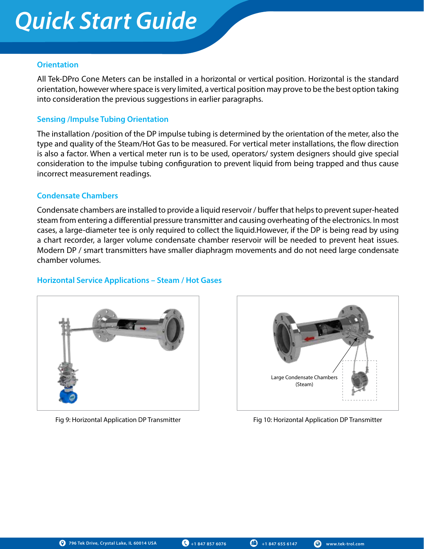### **Orientation**

All Tek-DPro Cone Meters can be installed in a horizontal or vertical position. Horizontal is the standard orientation, however where space is very limited, a vertical position may prove to be the best option taking into consideration the previous suggestions in earlier paragraphs.

### **Sensing /Impulse Tubing Orientation**

The installation /position of the DP impulse tubing is determined by the orientation of the meter, also the type and quality of the Steam/Hot Gas to be measured. For vertical meter installations, the flow direction is also a factor. When a vertical meter run is to be used, operators/ system designers should give special consideration to the impulse tubing configuration to prevent liquid from being trapped and thus cause incorrect measurement readings.

### **Condensate Chambers**

Condensate chambers are installed to provide a liquid reservoir / buffer that helps to prevent super-heated steam from entering a differential pressure transmitter and causing overheating of the electronics. In most cases, a large-diameter tee is only required to collect the liquid.However, if the DP is being read by using a chart recorder, a larger volume condensate chamber reservoir will be needed to prevent heat issues. Modern DP / smart transmitters have smaller diaphragm movements and do not need large condensate chamber volumes.

### **Horizontal Service Applications – Steam / Hot Gases**





Fig 9: Horizontal Application DP Transmitter Fig 10: Horizontal Application DP Transmitter

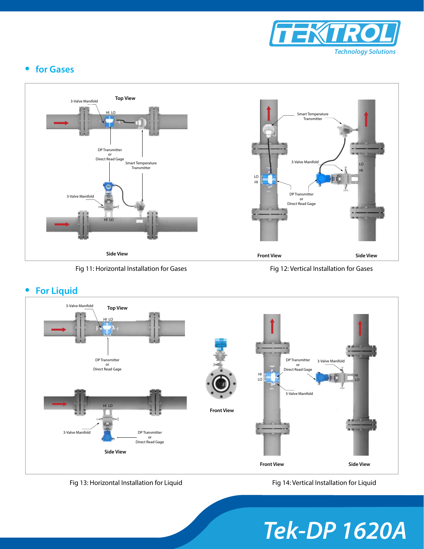

# **• for Gases**



Fig 11: Horizontal Installation for Gases Fig 12: Vertical Installation for Gases





Fig 13: Horizontal Installation for Liquid Fig 14: Vertical Installation for Liquid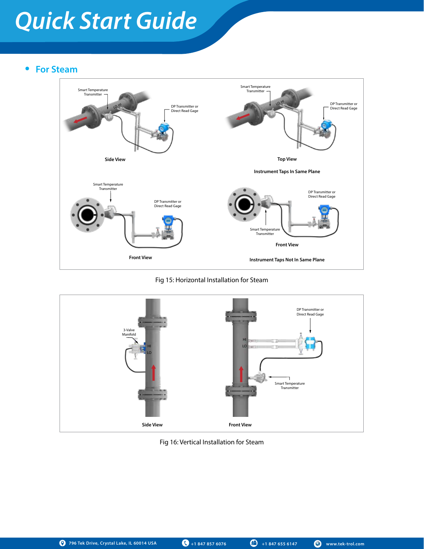# **• For Steam**



### Fig 15: Horizontal Installation for Steam



Fig 16: Vertical Installation for Steam

**796 Tek Drive, Crystal Lake, IL 60014 USA +1 847 857 6076 +1 847 655 6147 www.tek-trol.com**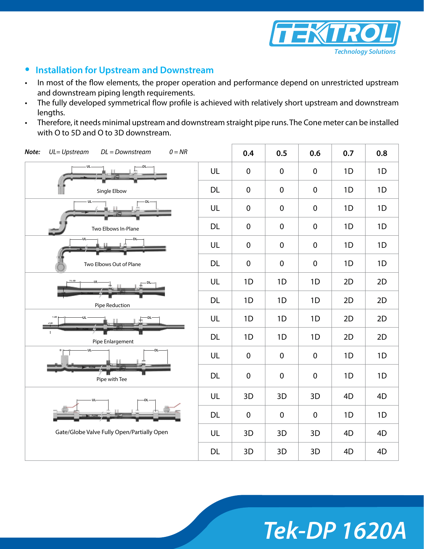

# **• Installation for Upstream and Downstream**

- In most of the flow elements, the proper operation and performance depend on unrestricted upstream and downstream piping length requirements.
- The fully developed symmetrical flow profile is achieved with relatively short upstream and downstream lengths.
- Therefore, it needs minimal upstream and downstream straight pipe runs. The Cone meter can be installed with O to 5D and O to 3D downstream.

| $0 = NR$<br>UL=Upstream<br>$DL = Downstream$<br>Note: |           | 0.4              | 0.5              | 0.6         | 0.7 | 0.8 |
|-------------------------------------------------------|-----------|------------------|------------------|-------------|-----|-----|
|                                                       | UL        | $\pmb{0}$        | $\pmb{0}$        | $\mathbf 0$ | 1D  | 1D  |
| Single Elbow                                          | <b>DL</b> | $\boldsymbol{0}$ | $\boldsymbol{0}$ | $\pmb{0}$   | 1D  | 1D  |
| UL                                                    | UL        | $\boldsymbol{0}$ | $\boldsymbol{0}$ | $\mathbf 0$ | 1D  | 1D  |
| Two Elbows In-Plane                                   | <b>DL</b> | $\mathbf 0$      | $\pmb{0}$        | $\mathbf 0$ | 1D  | 1D  |
| $-UL$                                                 | UL        | $\mathbf 0$      | $\boldsymbol{0}$ | $\mathbf 0$ | 1D  | 1D  |
| Two Elbows Out of Plane                               | <b>DL</b> | $\mathbf 0$      | $\boldsymbol{0}$ | $\mathbf 0$ | 1D  | 1D  |
|                                                       | UL        | 1D               | 1D               | 1D          | 2D  | 2D  |
| Pipe Reduction                                        | <b>DL</b> | 1D               | 1D               | 1D          | 2D  | 2D  |
| $1-2D$                                                | UL        | 1D               | 1D               | 1D          | 2D  | 2D  |
| Pipe Enlargement                                      | <b>DL</b> | 1D               | 1D               | 1D          | 2D  | 2D  |
| UĿ<br>DL-                                             | UL        | $\pmb{0}$        | $\boldsymbol{0}$ | $\mathbf 0$ | 1D  | 1D  |
| Pipe with Tee                                         | <b>DL</b> | $\pmb{0}$        | $\mathbf 0$      | $\mathbf 0$ | 1D  | 1D  |
|                                                       | UL        | 3D               | 3D               | 3D          | 4D  | 4D  |
|                                                       | <b>DL</b> | $\mathbf 0$      | $\boldsymbol{0}$ | $\mathbf 0$ | 1D  | 1D  |
| Gate/Globe Valve Fully Open/Partially Open            |           | 3D               | 3D               | 3D          | 4D  | 4D  |
|                                                       | <b>DL</b> | 3D               | 3D               | 3D          | 4D  | 4D  |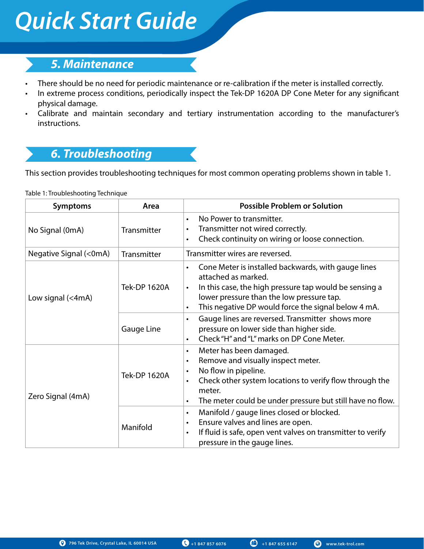# *5. Maintenance*

- There should be no need for periodic maintenance or re-calibration if the meter is installed correctly.
- In extreme process conditions, periodically inspect the Tek-DP 1620A DP Cone Meter for any significant physical damage.
- Calibrate and maintain secondary and tertiary instrumentation according to the manufacturer's instructions.

# *6. Troubleshooting*

This section provides troubleshooting techniques for most common operating problems shown in table 1.

Table 1: Troubleshooting Technique

| <b>Symptoms</b>        | Area                | <b>Possible Problem or Solution</b>                                                                                                                                                                                                                                                      |
|------------------------|---------------------|------------------------------------------------------------------------------------------------------------------------------------------------------------------------------------------------------------------------------------------------------------------------------------------|
| No Signal (0mA)        | Transmitter         | No Power to transmitter.<br>$\bullet$<br>Transmitter not wired correctly.<br>$\bullet$<br>Check continuity on wiring or loose connection.<br>$\bullet$                                                                                                                                   |
| Negative Signal (<0mA) | Transmitter         | Transmitter wires are reversed.                                                                                                                                                                                                                                                          |
| Low signal (<4mA)      | <b>Tek-DP 1620A</b> | Cone Meter is installed backwards, with gauge lines<br>$\bullet$<br>attached as marked.<br>In this case, the high pressure tap would be sensing a<br>$\bullet$<br>lower pressure than the low pressure tap.<br>This negative DP would force the signal below 4 mA.<br>$\bullet$          |
|                        | Gauge Line          | Gauge lines are reversed. Transmitter shows more<br>$\bullet$<br>pressure on lower side than higher side.<br>Check "H" and "L" marks on DP Cone Meter.<br>$\bullet$                                                                                                                      |
| Zero Signal (4mA)      | <b>Tek-DP 1620A</b> | Meter has been damaged.<br>$\bullet$<br>Remove and visually inspect meter.<br>$\bullet$<br>No flow in pipeline.<br>$\bullet$<br>Check other system locations to verify flow through the<br>$\bullet$<br>meter.<br>The meter could be under pressure but still have no flow.<br>$\bullet$ |
|                        | Manifold            | Manifold / gauge lines closed or blocked.<br>$\bullet$<br>Ensure valves and lines are open.<br>$\bullet$<br>If fluid is safe, open vent valves on transmitter to verify<br>$\bullet$<br>pressure in the gauge lines.                                                                     |

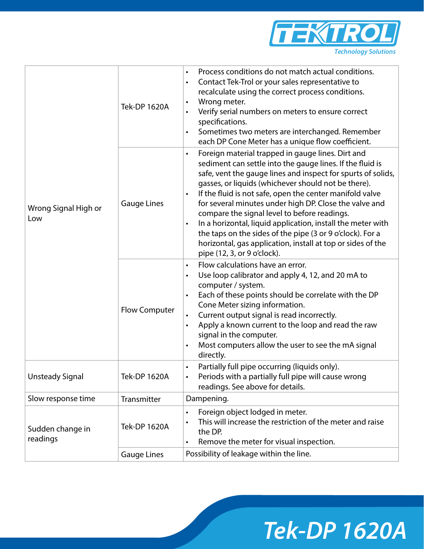

| Wrong Signal High or<br>Low  | <b>Tek-DP 1620A</b>  | Process conditions do not match actual conditions.<br>$\bullet$<br>Contact Tek-Trol or your sales representative to<br>$\bullet$<br>recalculate using the correct process conditions.<br>Wrong meter.<br>$\bullet$<br>Verify serial numbers on meters to ensure correct<br>$\bullet$<br>specifications.<br>Sometimes two meters are interchanged. Remember<br>$\bullet$<br>each DP Cone Meter has a unique flow coefficient.                                                                                                                                                                                                                                                 |
|------------------------------|----------------------|------------------------------------------------------------------------------------------------------------------------------------------------------------------------------------------------------------------------------------------------------------------------------------------------------------------------------------------------------------------------------------------------------------------------------------------------------------------------------------------------------------------------------------------------------------------------------------------------------------------------------------------------------------------------------|
|                              | <b>Gauge Lines</b>   | Foreign material trapped in gauge lines. Dirt and<br>$\bullet$<br>sediment can settle into the gauge lines. If the fluid is<br>safe, vent the gauge lines and inspect for spurts of solids,<br>gasses, or liquids (whichever should not be there).<br>If the fluid is not safe, open the center manifold valve<br>$\bullet$<br>for several minutes under high DP. Close the valve and<br>compare the signal level to before readings.<br>In a horizontal, liquid application, install the meter with<br>$\bullet$<br>the taps on the sides of the pipe (3 or 9 o'clock). For a<br>horizontal, gas application, install at top or sides of the<br>pipe (12, 3, or 9 o'clock). |
|                              | <b>Flow Computer</b> | Flow calculations have an error.<br>$\bullet$<br>Use loop calibrator and apply 4, 12, and 20 mA to<br>$\bullet$<br>computer / system.<br>Each of these points should be correlate with the DP<br>$\bullet$<br>Cone Meter sizing information.<br>Current output signal is read incorrectly.<br>$\bullet$<br>Apply a known current to the loop and read the raw<br>$\bullet$<br>signal in the computer.<br>Most computers allow the user to see the mA signal<br>$\bullet$<br>directly.                                                                                                                                                                                        |
| Unsteady Signal              | Tek-DP 1620A         | Partially full pipe occurring (liquids only).<br>$\bullet$<br>Periods with a partially full pipe will cause wrong<br>readings. See above for details.                                                                                                                                                                                                                                                                                                                                                                                                                                                                                                                        |
| Slow response time           | Transmitter          | Dampening.                                                                                                                                                                                                                                                                                                                                                                                                                                                                                                                                                                                                                                                                   |
| Sudden change in<br>readings | <b>Tek-DP 1620A</b>  | Foreign object lodged in meter.<br>$\bullet$<br>This will increase the restriction of the meter and raise<br>$\bullet$<br>the DP.<br>Remove the meter for visual inspection.<br>$\bullet$                                                                                                                                                                                                                                                                                                                                                                                                                                                                                    |
|                              | <b>Gauge Lines</b>   | Possibility of leakage within the line.                                                                                                                                                                                                                                                                                                                                                                                                                                                                                                                                                                                                                                      |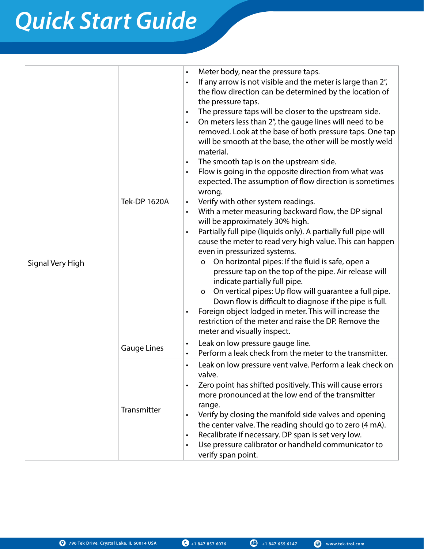|                  | Tek-DP 1620A       | Meter body, near the pressure taps.<br>$\bullet$<br>If any arrow is not visible and the meter is large than 2",<br>$\bullet$<br>the flow direction can be determined by the location of<br>the pressure taps.<br>The pressure taps will be closer to the upstream side.<br>$\bullet$<br>On meters less than 2", the gauge lines will need to be<br>$\bullet$<br>removed. Look at the base of both pressure taps. One tap<br>will be smooth at the base, the other will be mostly weld<br>material.<br>The smooth tap is on the upstream side.<br>$\bullet$<br>Flow is going in the opposite direction from what was<br>$\bullet$<br>expected. The assumption of flow direction is sometimes<br>wrong.<br>Verify with other system readings.<br>$\bullet$<br>With a meter measuring backward flow, the DP signal<br>$\bullet$ |
|------------------|--------------------|------------------------------------------------------------------------------------------------------------------------------------------------------------------------------------------------------------------------------------------------------------------------------------------------------------------------------------------------------------------------------------------------------------------------------------------------------------------------------------------------------------------------------------------------------------------------------------------------------------------------------------------------------------------------------------------------------------------------------------------------------------------------------------------------------------------------------|
| Signal Very High |                    | will be approximately 30% high.<br>Partially full pipe (liquids only). A partially full pipe will<br>$\bullet$<br>cause the meter to read very high value. This can happen<br>even in pressurized systems.<br>On horizontal pipes: If the fluid is safe, open a<br>$\mathsf{o}$<br>pressure tap on the top of the pipe. Air release will<br>indicate partially full pipe.<br>On vertical pipes: Up flow will guarantee a full pipe.<br>$\mathsf{o}$<br>Down flow is difficult to diagnose if the pipe is full.<br>Foreign object lodged in meter. This will increase the<br>$\bullet$<br>restriction of the meter and raise the DP. Remove the<br>meter and visually inspect.                                                                                                                                                |
|                  | <b>Gauge Lines</b> | Leak on low pressure gauge line.<br>$\bullet$<br>Perform a leak check from the meter to the transmitter.<br>$\bullet$                                                                                                                                                                                                                                                                                                                                                                                                                                                                                                                                                                                                                                                                                                        |
|                  | Transmitter        | Leak on low pressure vent valve. Perform a leak check on<br>$\bullet$<br>valve.<br>Zero point has shifted positively. This will cause errors<br>$\bullet$<br>more pronounced at the low end of the transmitter<br>range.<br>Verify by closing the manifold side valves and opening<br>$\bullet$<br>the center valve. The reading should go to zero (4 mA).<br>Recalibrate if necessary. DP span is set very low.<br>$\bullet$<br>Use pressure calibrator or handheld communicator to<br>$\bullet$<br>verify span point.                                                                                                                                                                                                                                                                                                      |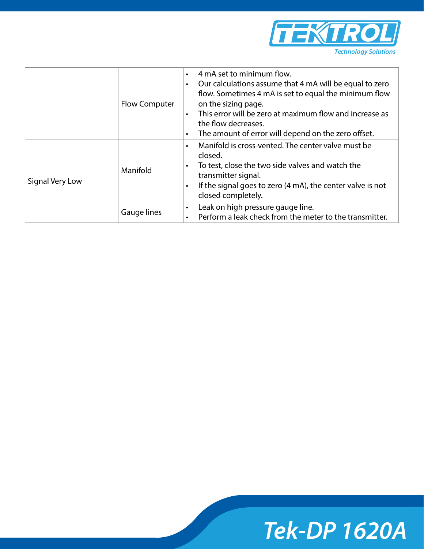

|                 | <b>Flow Computer</b> | 4 mA set to minimum flow.<br>$\bullet$<br>Our calculations assume that 4 mA will be equal to zero<br>$\bullet$<br>flow. Sometimes 4 mA is set to equal the minimum flow<br>on the sizing page.<br>This error will be zero at maximum flow and increase as<br>$\bullet$<br>the flow decreases.<br>The amount of error will depend on the zero offset.<br>$\bullet$ |
|-----------------|----------------------|-------------------------------------------------------------------------------------------------------------------------------------------------------------------------------------------------------------------------------------------------------------------------------------------------------------------------------------------------------------------|
| Signal Very Low | Manifold             | Manifold is cross-vented. The center valve must be<br>$\bullet$<br>closed.<br>To test, close the two side valves and watch the<br>$\bullet$<br>transmitter signal.<br>If the signal goes to zero (4 mA), the center valve is not<br>$\bullet$<br>closed completely.                                                                                               |
|                 | Gauge lines          | Leak on high pressure gauge line.<br>$\bullet$<br>Perform a leak check from the meter to the transmitter.<br>$\bullet$                                                                                                                                                                                                                                            |